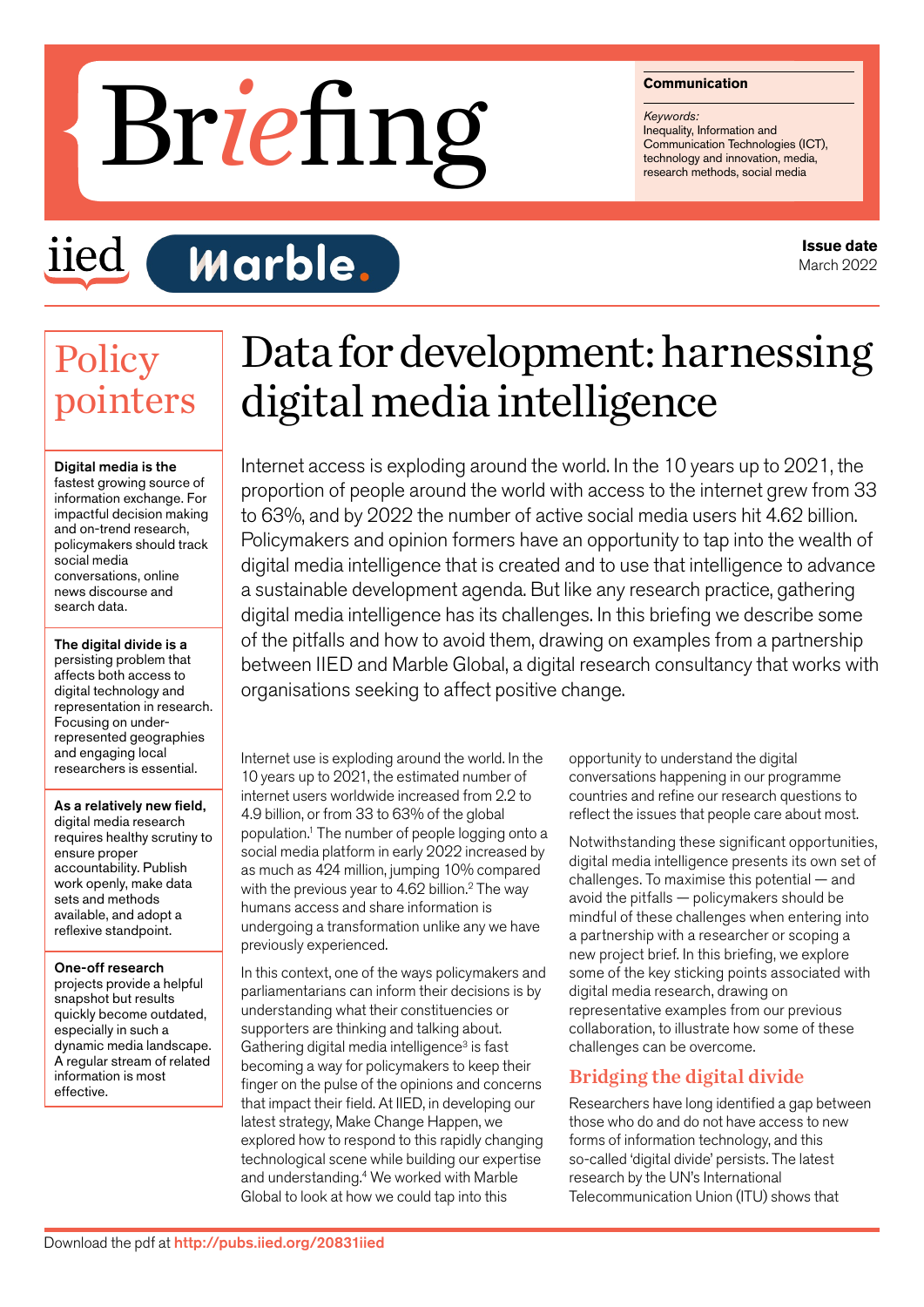#### **Communication**

*Keywords:* Inequality, Information and Communication Technologies (ICT), Francisco Communication<br>
Responses:<br>
Communication Technologies (ICT<br>
Technology and innovation, media,<br>
research methods, social media

# iied

# **Marble.**

# **Policy** pointers

#### Digital media is the

fastest growing source of information exchange. For impactful decision making and on-trend research, policymakers should track social media conversations, online news discourse and search data.

The digital divide is a persisting problem that affects both access to digital technology and representation in research. Focusing on underrepresented geographies and engaging local researchers is essential.

### As a relatively new field,

digital media research requires healthy scrutiny to ensure proper accountability. Publish work openly, make data sets and methods available, and adopt a reflexive standpoint.

#### One-off research

projects provide a helpful snapshot but results quickly become outdated, especially in such a dynamic media landscape. A regular stream of related information is most effective.

# Data for development: harnessing digital media intelligence

Internet access is exploding around the world. In the 10 years up to 2021, the proportion of people around the world with access to the internet grew from 33 to 63%, and by 2022 the number of active social media users hit 4.62 billion. Policymakers and opinion formers have an opportunity to tap into the wealth of digital media intelligence that is created and to use that intelligence to advance a sustainable development agenda. But like any research practice, gathering digital media intelligence has its challenges. In this briefing we describe some of the pitfalls and how to avoid them, drawing on examples from a partnership between IIED and Marble Global, a digital research consultancy that works with organisations seeking to affect positive change.

Internet use is exploding around the world. In the 10 years up to 2021, the estimated number of internet users worldwide increased from 2.2 to 4.9 billion, or from 33 to 63% of the global population.1 The number of people logging onto a social media platform in early 2022 increased by as much as 424 million, jumping 10% compared with the previous year to 4.62 billion.<sup>2</sup> The way humans access and share information is undergoing a transformation unlike any we have previously experienced.

In this context, one of the ways policymakers and parliamentarians can inform their decisions is by understanding what their constituencies or supporters are thinking and talking about. Gathering digital media intelligence<sup>3</sup> is fast becoming a way for policymakers to keep their finger on the pulse of the opinions and concerns that impact their field. At IIED, in developing our latest strategy, Make Change Happen, we explored how to respond to this rapidly changing technological scene while building our expertise and understanding.4 We worked with Marble Global to look at how we could tap into this

opportunity to understand the digital conversations happening in our programme countries and refine our research questions to reflect the issues that people care about most.

Notwithstanding these significant opportunities, digital media intelligence presents its own set of challenges. To maximise this potential — and avoid the pitfalls — policymakers should be mindful of these challenges when entering into a partnership with a researcher or scoping a new project brief. In this briefing, we explore some of the key sticking points associated with digital media research, drawing on representative examples from our previous collaboration, to illustrate how some of these challenges can be overcome.

# Bridging the digital divide

Researchers have long identified a gap between those who do and do not have access to new forms of information technology, and this so-called 'digital divide' persists. The latest research by the UN's International Telecommunication Union (ITU) shows that

**Issue date** March 2022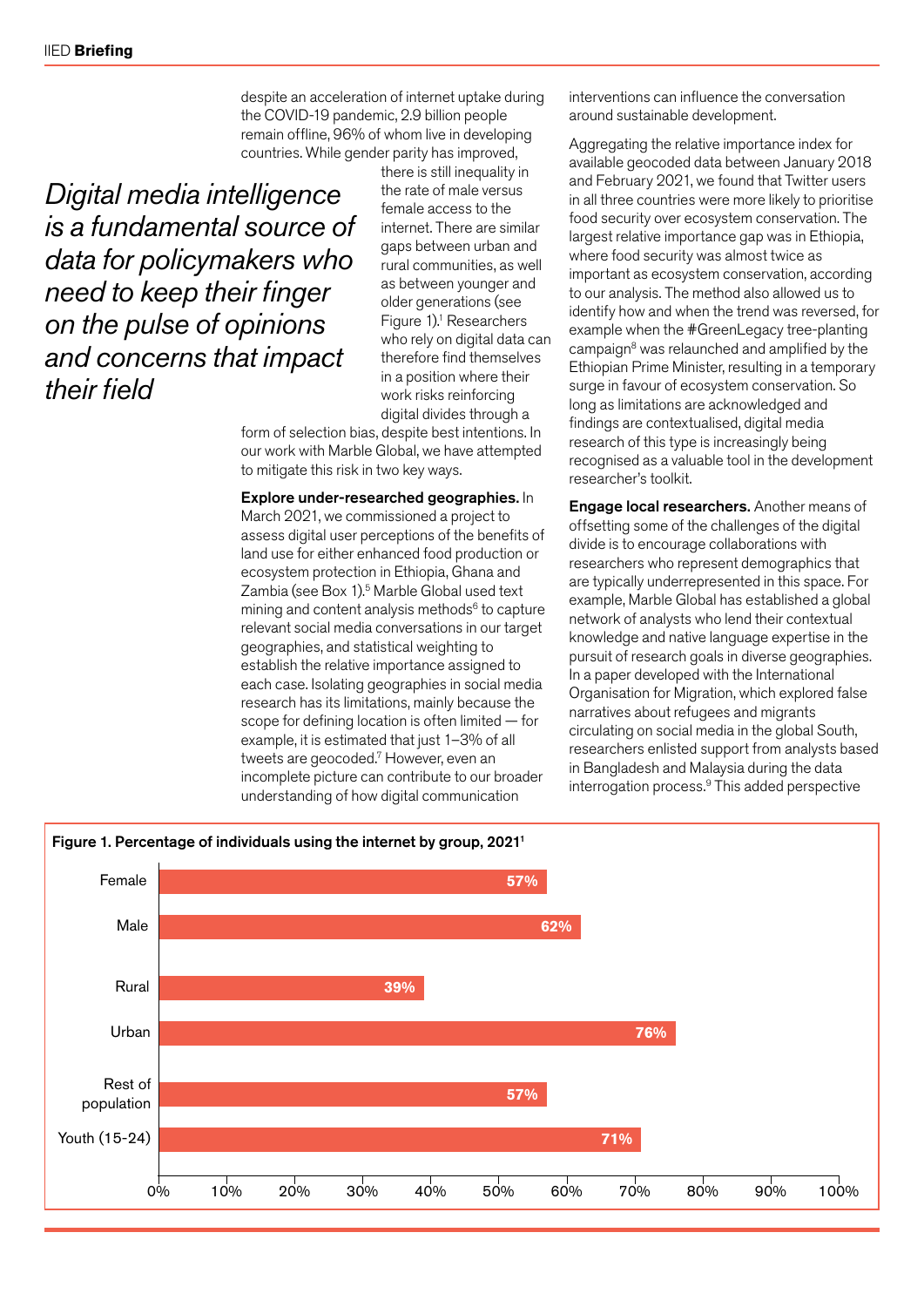despite an acceleration of internet uptake during the COVID-19 pandemic, 2.9 billion people remain offline, 96% of whom live in developing countries. While gender parity has improved,

*Digital media intelligence is a fundamental source of data for policymakers who need to keep their finger on the pulse of opinions and concerns that impact their field*

there is still inequality in the rate of male versus female access to the internet. There are similar gaps between urban and rural communities, as well as between younger and older generations (see Figure  $1$ ).<sup>1</sup> Researchers who rely on digital data can therefore find themselves in a position where their work risks reinforcing digital divides through a

form of selection bias, despite best intentions. In our work with Marble Global, we have attempted to mitigate this risk in two key ways.

Explore under-researched geographies. In March 2021, we commissioned a project to assess digital user perceptions of the benefits of land use for either enhanced food production or ecosystem protection in Ethiopia, Ghana and Zambia (see Box 1).<sup>5</sup> Marble Global used text mining and content analysis methods $6$  to capture relevant social media conversations in our target geographies, and statistical weighting to establish the relative importance assigned to each case. Isolating geographies in social media research has its limitations, mainly because the scope for defining location is often limited — for example, it is estimated that just 1–3% of all tweets are geocoded.7 However, even an incomplete picture can contribute to our broader understanding of how digital communication

interventions can influence the conversation around sustainable development.

Aggregating the relative importance index for available geocoded data between January 2018 and February 2021, we found that Twitter users in all three countries were more likely to prioritise food security over ecosystem conservation. The largest relative importance gap was in Ethiopia, where food security was almost twice as important as ecosystem conservation, according to our analysis. The method also allowed us to identify how and when the trend was reversed, for example when the #GreenLegacy tree-planting campaign<sup>8</sup> was relaunched and amplified by the Ethiopian Prime Minister, resulting in a temporary surge in favour of ecosystem conservation. So long as limitations are acknowledged and findings are contextualised, digital media research of this type is increasingly being recognised as a valuable tool in the development researcher's toolkit.

Engage local researchers. Another means of offsetting some of the challenges of the digital divide is to encourage collaborations with researchers who represent demographics that are typically underrepresented in this space. For example, Marble Global has established a global network of analysts who lend their contextual knowledge and native language expertise in the pursuit of research goals in diverse geographies. In a paper developed with the International Organisation for Migration, which explored false narratives about refugees and migrants circulating on social media in the global South, researchers enlisted support from analysts based in Bangladesh and Malaysia during the data interrogation process.9 This added perspective

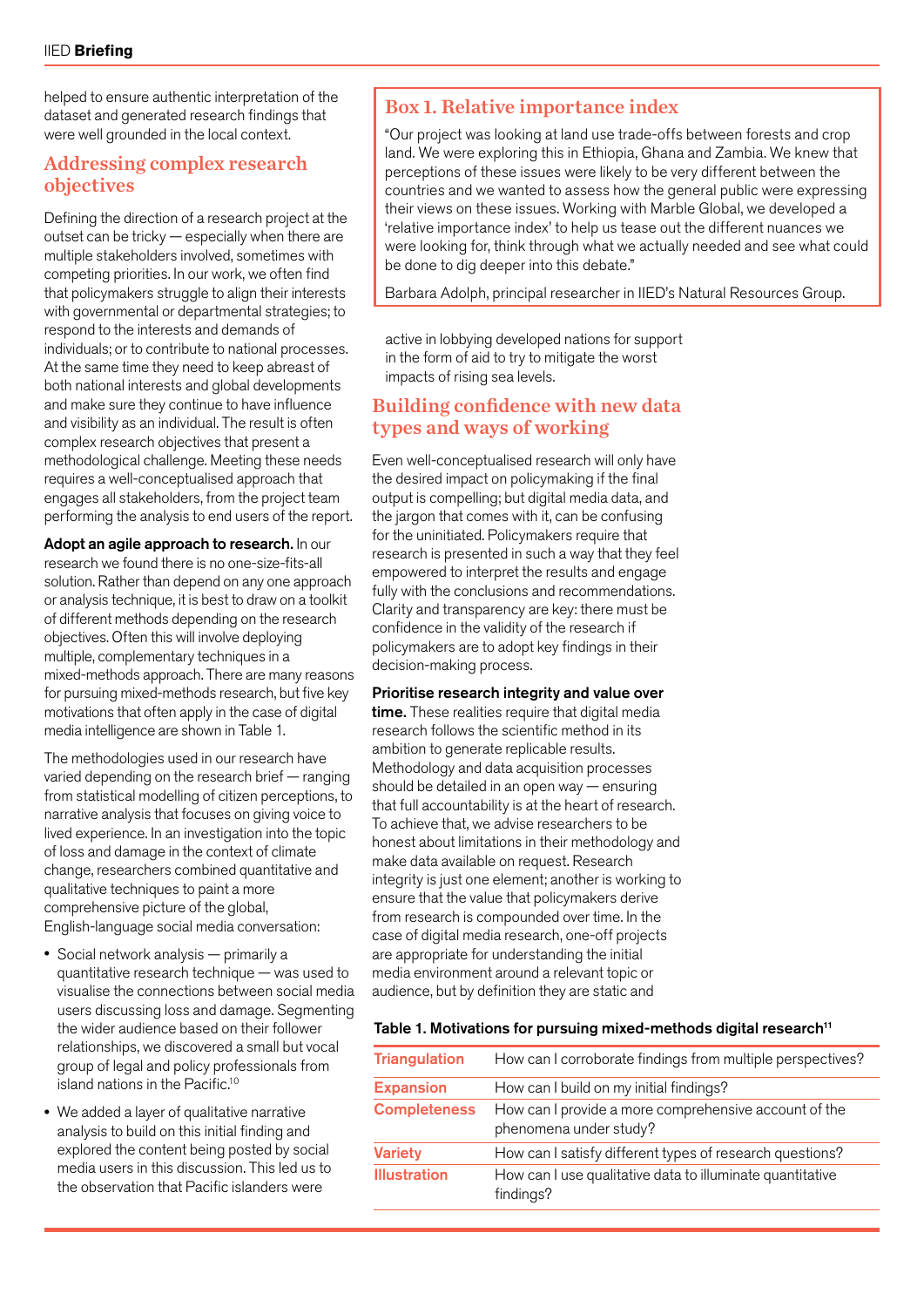helped to ensure authentic interpretation of the dataset and generated research findings that were well grounded in the local context.

# Addressing complex research objectives

Defining the direction of a research project at the outset can be tricky — especially when there are multiple stakeholders involved, sometimes with competing priorities. In our work, we often find that policymakers struggle to align their interests with governmental or departmental strategies; to respond to the interests and demands of individuals; or to contribute to national processes. At the same time they need to keep abreast of both national interests and global developments and make sure they continue to have influence and visibility as an individual. The result is often complex research objectives that present a methodological challenge. Meeting these needs requires a well-conceptualised approach that engages all stakeholders, from the project team performing the analysis to end users of the report.

Adopt an agile approach to research. In our research we found there is no one-size-fits-all solution. Rather than depend on any one approach or analysis technique, it is best to draw on a toolkit of different methods depending on the research objectives. Often this will involve deploying multiple, complementary techniques in a mixed-methods approach. There are many reasons for pursuing mixed-methods research, but five key motivations that often apply in the case of digital media intelligence are shown in Table 1.

The methodologies used in our research have varied depending on the research brief — ranging from statistical modelling of citizen perceptions, to narrative analysis that focuses on giving voice to lived experience. In an investigation into the topic of loss and damage in the context of climate change, researchers combined quantitative and qualitative techniques to paint a more comprehensive picture of the global, English-language social media conversation:

- Social network analysis primarily a quantitative research technique — was used to visualise the connections between social media users discussing loss and damage. Segmenting the wider audience based on their follower relationships, we discovered a small but vocal group of legal and policy professionals from island nations in the Pacific.10
- We added a layer of qualitative narrative analysis to build on this initial finding and explored the content being posted by social media users in this discussion. This led us to the observation that Pacific islanders were

# Box 1. Relative importance index

"Our project was looking at land use trade-offs between forests and crop land. We were exploring this in Ethiopia, Ghana and Zambia. We knew that perceptions of these issues were likely to be very different between the countries and we wanted to assess how the general public were expressing their views on these issues. Working with Marble Global, we developed a 'relative importance index' to help us tease out the different nuances we were looking for, think through what we actually needed and see what could be done to dig deeper into this debate."

Barbara Adolph, principal researcher in IIED's Natural Resources Group.

active in lobbying developed nations for support in the form of aid to try to mitigate the worst impacts of rising sea levels.

# Building confidence with new data types and ways of working

Even well-conceptualised research will only have the desired impact on policymaking if the final output is compelling; but digital media data, and the jargon that comes with it, can be confusing for the uninitiated. Policymakers require that research is presented in such a way that they feel empowered to interpret the results and engage fully with the conclusions and recommendations. Clarity and transparency are key: there must be confidence in the validity of the research if policymakers are to adopt key findings in their decision-making process.

### Prioritise research integrity and value over

time. These realities require that digital media research follows the scientific method in its ambition to generate replicable results. Methodology and data acquisition processes should be detailed in an open way — ensuring that full accountability is at the heart of research. To achieve that, we advise researchers to be honest about limitations in their methodology and make data available on request. Research integrity is just one element; another is working to ensure that the value that policymakers derive from research is compounded over time. In the case of digital media research, one-off projects are appropriate for understanding the initial media environment around a relevant topic or audience, but by definition they are static and

### Table 1. Motivations for pursuing mixed-methods digital research<sup>11</sup>

| How can I corroborate findings from multiple perspectives?                      |
|---------------------------------------------------------------------------------|
| How can I build on my initial findings?                                         |
| How can I provide a more comprehensive account of the<br>phenomena under study? |
| How can I satisfy different types of research questions?                        |
| How can I use qualitative data to illuminate quantitative<br>findings?          |
|                                                                                 |